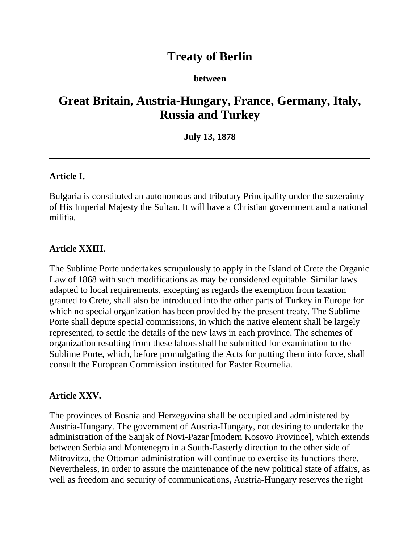# **Treaty of Berlin**

#### **between**

# **Great Britain, Austria-Hungary, France, Germany, Italy, Russia and Turkey**

#### **July 13, 1878**

#### **Article I.**

Bulgaria is constituted an autonomous and tributary Principality under the suzerainty of His Imperial Majesty the Sultan. It will have a Christian government and a national militia.

#### **Article XXIII.**

The Sublime Porte undertakes scrupulously to apply in the Island of Crete the Organic Law of 1868 with such modifications as may be considered equitable. Similar laws adapted to local requirements, excepting as regards the exemption from taxation granted to Crete, shall also be introduced into the other parts of Turkey in Europe for which no special organization has been provided by the present treaty. The Sublime Porte shall depute special commissions, in which the native element shall be largely represented, to settle the details of the new laws in each province. The schemes of organization resulting from these labors shall be submitted for examination to the Sublime Porte, which, before promulgating the Acts for putting them into force, shall consult the European Commission instituted for Easter Roumelia.

#### **Article XXV.**

The provinces of Bosnia and Herzegovina shall be occupied and administered by Austria-Hungary. The government of Austria-Hungary, not desiring to undertake the administration of the Sanjak of Novi-Pazar [modern Kosovo Province], which extends between Serbia and Montenegro in a South-Easterly direction to the other side of Mitrovitza, the Ottoman administration will continue to exercise its functions there. Nevertheless, in order to assure the maintenance of the new political state of affairs, as well as freedom and security of communications, Austria-Hungary reserves the right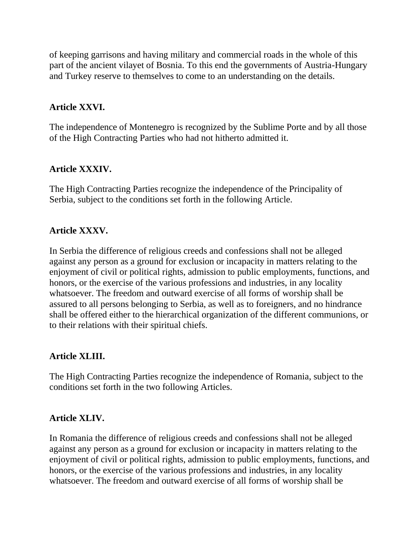of keeping garrisons and having military and commercial roads in the whole of this part of the ancient vilayet of Bosnia. To this end the governments of Austria-Hungary and Turkey reserve to themselves to come to an understanding on the details.

## **Article XXVI.**

The independence of Montenegro is recognized by the Sublime Porte and by all those of the High Contracting Parties who had not hitherto admitted it.

## **Article XXXIV.**

The High Contracting Parties recognize the independence of the Principality of Serbia, subject to the conditions set forth in the following Article.

### **Article XXXV.**

In Serbia the difference of religious creeds and confessions shall not be alleged against any person as a ground for exclusion or incapacity in matters relating to the enjoyment of civil or political rights, admission to public employments, functions, and honors, or the exercise of the various professions and industries, in any locality whatsoever. The freedom and outward exercise of all forms of worship shall be assured to all persons belonging to Serbia, as well as to foreigners, and no hindrance shall be offered either to the hierarchical organization of the different communions, or to their relations with their spiritual chiefs.

### **Article XLIII.**

The High Contracting Parties recognize the independence of Romania, subject to the conditions set forth in the two following Articles.

### **Article XLIV.**

In Romania the difference of religious creeds and confessions shall not be alleged against any person as a ground for exclusion or incapacity in matters relating to the enjoyment of civil or political rights, admission to public employments, functions, and honors, or the exercise of the various professions and industries, in any locality whatsoever. The freedom and outward exercise of all forms of worship shall be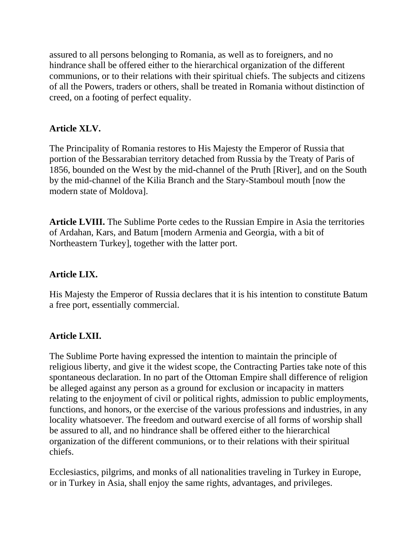assured to all persons belonging to Romania, as well as to foreigners, and no hindrance shall be offered either to the hierarchical organization of the different communions, or to their relations with their spiritual chiefs. The subjects and citizens of all the Powers, traders or others, shall be treated in Romania without distinction of creed, on a footing of perfect equality.

# **Article XLV.**

The Principality of Romania restores to His Majesty the Emperor of Russia that portion of the Bessarabian territory detached from Russia by the Treaty of Paris of 1856, bounded on the West by the mid-channel of the Pruth [River], and on the South by the mid-channel of the Kilia Branch and the Stary-Stamboul mouth [now the modern state of Moldova].

**Article LVIII.** The Sublime Porte cedes to the Russian Empire in Asia the territories of Ardahan, Kars, and Batum [modern Armenia and Georgia, with a bit of Northeastern Turkey], together with the latter port.

### **Article LIX.**

His Majesty the Emperor of Russia declares that it is his intention to constitute Batum a free port, essentially commercial.

### **Article LXII.**

The Sublime Porte having expressed the intention to maintain the principle of religious liberty, and give it the widest scope, the Contracting Parties take note of this spontaneous declaration. In no part of the Ottoman Empire shall difference of religion be alleged against any person as a ground for exclusion or incapacity in matters relating to the enjoyment of civil or political rights, admission to public employments, functions, and honors, or the exercise of the various professions and industries, in any locality whatsoever. The freedom and outward exercise of all forms of worship shall be assured to all, and no hindrance shall be offered either to the hierarchical organization of the different communions, or to their relations with their spiritual chiefs.

Ecclesiastics, pilgrims, and monks of all nationalities traveling in Turkey in Europe, or in Turkey in Asia, shall enjoy the same rights, advantages, and privileges.